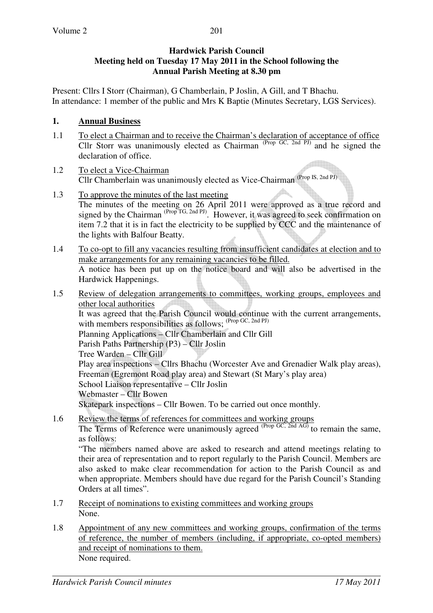#### **Hardwick Parish Council Meeting held on Tuesday 17 May 2011 in the School following the Annual Parish Meeting at 8.30 pm**

Present: Cllrs I Storr (Chairman), G Chamberlain, P Joslin, A Gill, and T Bhachu. In attendance: 1 member of the public and Mrs K Baptie (Minutes Secretary, LGS Services).

#### **1. Annual Business**

- 1.1 To elect a Chairman and to receive the Chairman's declaration of acceptance of office Cllr Storr was unanimously elected as Chairman  $^{(Prop \ GC, 2nd \ PJ)}$  and he signed the declaration of office.
- 1.2 To elect a Vice-Chairman Cllr Chamberlain was unanimously elected as Vice-Chairman (Prop IS, 2nd PJ)
- 1.3 To approve the minutes of the last meeting The minutes of the meeting on 26 April 2011 were approved as a true record and signed by the Chairman <sup>(Prop TG, 2nd PJ)</sup>. However, it was agreed to seek confirmation on item 7.2 that it is in fact the electricity to be supplied by CCC and the maintenance of the lights with Balfour Beatty.
- 1.4 To co-opt to fill any vacancies resulting from insufficient candidates at election and to make arrangements for any remaining vacancies to be filled. A notice has been put up on the notice board and will also be advertised in the Hardwick Happenings.
- 1.5 Review of delegation arrangements to committees, working groups, employees and other local authorities It was agreed that the Parish Council would continue with the current arrangements, with members responsibilities as follows; <sup>(Prop GC, 2nd PJ)</sup> Planning Applications – Cllr Chamberlain and Cllr Gill Parish Paths Partnership (P3) – Cllr Joslin Tree Warden – Cllr Gill Play area inspections – Cllrs Bhachu (Worcester Ave and Grenadier Walk play areas), Freeman (Egremont Road play area) and Stewart (St Mary's play area) School Liaison representative – Cllr Joslin Webmaster – Cllr Bowen Skatepark inspections – Cllr Bowen. To be carried out once monthly.
- 1.6 Review the terms of references for committees and working groups The Terms of Reference were unanimously agreed <sup>(Prop GC, 2nd AG)</sup> to remain the same, as follows:

"The members named above are asked to research and attend meetings relating to their area of representation and to report regularly to the Parish Council. Members are also asked to make clear recommendation for action to the Parish Council as and when appropriate. Members should have due regard for the Parish Council's Standing Orders at all times".

- 1.7 Receipt of nominations to existing committees and working groups None.
- 1.8 Appointment of any new committees and working groups, confirmation of the terms of reference, the number of members (including, if appropriate, co-opted members) and receipt of nominations to them. None required.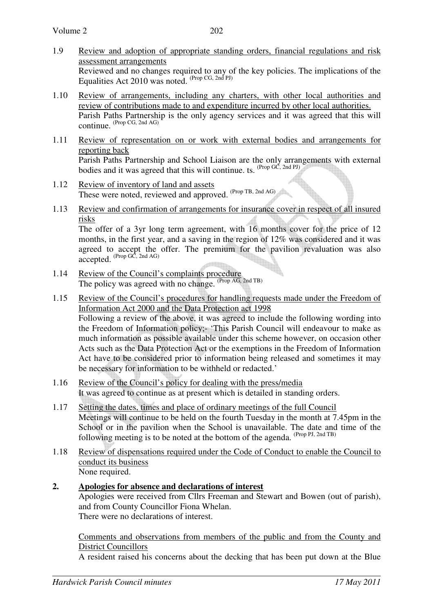- 1.9 Review and adoption of appropriate standing orders, financial regulations and risk assessment arrangements Reviewed and no changes required to any of the key policies. The implications of the Equalities Act 2010 was noted.  $(\text{Prop CG}, \text{2nd PI})$
- 1.10 Review of arrangements, including any charters, with other local authorities and review of contributions made to and expenditure incurred by other local authorities. Parish Paths Partnership is the only agency services and it was agreed that this will continue. (Prop CG, 2nd AG)
- 1.11 Review of representation on or work with external bodies and arrangements for reporting back Parish Paths Partnership and School Liaison are the only arrangements with external bodies and it was agreed that this will continue. ts.  $^{(Prop \, GC, 2nd \, PJ)}$
- 1.12 Review of inventory of land and assets These were noted, reviewed and approved. (Prop TB, 2nd AG)
- 1.13 Review and confirmation of arrangements for insurance cover in respect of all insured risks

 The offer of a 3yr long term agreement, with 16 months cover for the price of 12 months, in the first year, and a saving in the region of 12% was considered and it was agreed to accept the offer. The premium for the pavilion revaluation was also  $accepted.$  (Prop GC, 2nd AG)

- 1.14 Review of the Council's complaints procedure The policy was agreed with no change. (Prop AG, 2nd TB)
- 1.15 Review of the Council's procedures for handling requests made under the Freedom of Information Act 2000 and the Data Protection act 1998 Following a review of the above, it was agreed to include the following wording into the Freedom of Information policy;- 'This Parish Council will endeavour to make as much information as possible available under this scheme however, on occasion other Acts such as the Data Protection Act or the exemptions in the Freedom of Information Act have to be considered prior to information being released and sometimes it may be necessary for information to be withheld or redacted.'
- 1.16 Review of the Council's policy for dealing with the press/media It was agreed to continue as at present which is detailed in standing orders.
- 1.17 Setting the dates, times and place of ordinary meetings of the full Council Meetings will continue to be held on the fourth Tuesday in the month at 7.45pm in the School or in the pavilion when the School is unavailable. The date and time of the following meeting is to be noted at the bottom of the agenda.  $(\text{Prop Pl}, \text{2nd TB})$
- 1.18 Review of dispensations required under the Code of Conduct to enable the Council to conduct its business None required.
- **2. Apologies for absence and declarations of interest** Apologies were received from Cllrs Freeman and Stewart and Bowen (out of parish), and from County Councillor Fiona Whelan. There were no declarations of interest.

Comments and observations from members of the public and from the County and District Councillors

A resident raised his concerns about the decking that has been put down at the Blue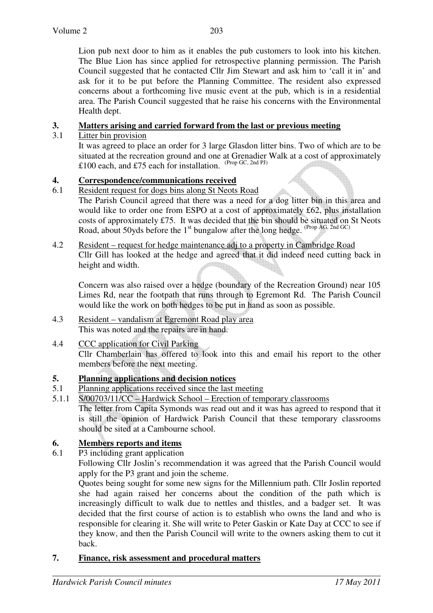Lion pub next door to him as it enables the pub customers to look into his kitchen. The Blue Lion has since applied for retrospective planning permission. The Parish Council suggested that he contacted Cllr Jim Stewart and ask him to 'call it in' and ask for it to be put before the Planning Committee. The resident also expressed concerns about a forthcoming live music event at the pub, which is in a residential area. The Parish Council suggested that he raise his concerns with the Environmental Health dept.

## **3. Matters arising and carried forward from the last or previous meeting**

3.1 Litter bin provision

 It was agreed to place an order for 3 large Glasdon litter bins. Two of which are to be situated at the recreation ground and one at Grenadier Walk at a cost of approximately £100 each, and £75 each for installation.  $^{(Prop \, GC, 2nd \, PJ)}$ 

# **4. Correspondence/communications received**

- 6.1 Resident request for dogs bins along St Neots Road
	- The Parish Council agreed that there was a need for a dog litter bin in this area and would like to order one from ESPO at a cost of approximately £62, plus installation costs of approximately £75. It was decided that the bin should be situated on St Neots Road, about 50yds before the  $1<sup>st</sup>$  bungalow after the long hedge. (Prop AG, 2nd GC)
- 4.2 Resident request for hedge maintenance adj to a property in Cambridge Road Cllr Gill has looked at the hedge and agreed that it did indeed need cutting back in height and width.

Concern was also raised over a hedge (boundary of the Recreation Ground) near 105 Limes Rd, near the footpath that runs through to Egremont Rd. The Parish Council would like the work on both hedges to be put in hand as soon as possible.

- 4.3 Resident vandalism at Egremont Road play area This was noted and the repairs are in hand.
- 4.4 CCC application for Civil Parking Cllr Chamberlain has offered to look into this and email his report to the other members before the next meeting.

### **5. Planning applications and decision notices**

- 5.1 Planning applications received since the last meeting
- 5.1.1 S/00703/11/CC Hardwick School Erection of temporary classrooms The letter from Capita Symonds was read out and it was has agreed to respond that it is still the opinion of Hardwick Parish Council that these temporary classrooms should be sited at a Cambourne school.

# **6. Members reports and items**<br>**6.1 P3** including grant application

P3 including grant application

 Following Cllr Joslin's recommendation it was agreed that the Parish Council would apply for the P3 grant and join the scheme.

 Quotes being sought for some new signs for the Millennium path. Cllr Joslin reported she had again raised her concerns about the condition of the path which is increasingly difficult to walk due to nettles and thistles, and a badger set. It was decided that the first course of action is to establish who owns the land and who is responsible for clearing it. She will write to Peter Gaskin or Kate Day at CCC to see if they know, and then the Parish Council will write to the owners asking them to cut it back.

### **7. Finance, risk assessment and procedural matters**